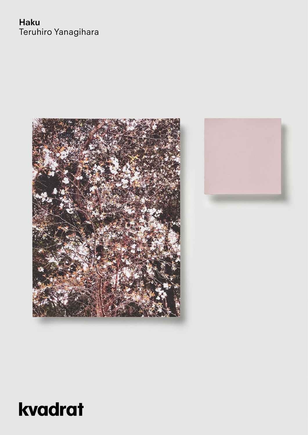## **Haku** Teruhiro Yanagihara



# kvadrat